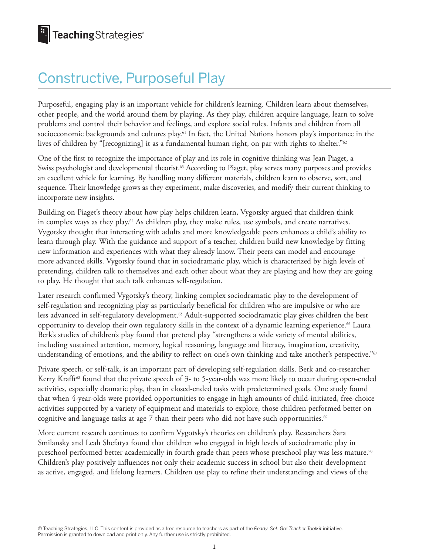# Constructive, Purposeful Play

Purposeful, engaging play is an important vehicle for children's learning. Children learn about themselves, other people, and the world around them by playing. As they play, children acquire language, learn to solve problems and control their behavior and feelings, and explore social roles. Infants and children from all socioeconomic backgrounds and cultures play.61 In fact, the United Nations honors play's importance in the lives of children by "[recognizing] it as a fundamental human right, on par with rights to shelter."<sup>62</sup>

One of the first to recognize the importance of play and its role in cognitive thinking was Jean Piaget, a Swiss psychologist and developmental theorist.<sup>63</sup> According to Piaget, play serves many purposes and provides an excellent vehicle for learning. By handling many different materials, children learn to observe, sort, and sequence. Their knowledge grows as they experiment, make discoveries, and modify their current thinking to incorporate new insights.

Building on Piaget's theory about how play helps children learn, Vygotsky argued that children think in complex ways as they play.<sup>64</sup> As children play, they make rules, use symbols, and create narratives. Vygotsky thought that interacting with adults and more knowledgeable peers enhances a child's ability to learn through play. With the guidance and support of a teacher, children build new knowledge by fitting new information and experiences with what they already know. Their peers can model and encourage more advanced skills. Vygotsky found that in sociodramatic play, which is characterized by high levels of pretending, children talk to themselves and each other about what they are playing and how they are going to play. He thought that such talk enhances self-regulation.

Later research confirmed Vygotsky's theory, linking complex sociodramatic play to the development of self-regulation and recognizing play as particularly beneficial for children who are impulsive or who are less advanced in self-regulatory development.<sup>65</sup> Adult-supported sociodramatic play gives children the best opportunity to develop their own regulatory skills in the context of a dynamic learning experience.66 Laura Berk's studies of children's play found that pretend play "strengthens a wide variety of mental abilities, including sustained attention, memory, logical reasoning, language and literacy, imagination, creativity, understanding of emotions, and the ability to reflect on one's own thinking and take another's perspective."<sup>67</sup>

Private speech, or self-talk, is an important part of developing self-regulation skills. Berk and co-researcher Kerry Krafft<sup>68</sup> found that the private speech of 3- to 5-year-olds was more likely to occur during open-ended activities, especially dramatic play, than in closed-ended tasks with predetermined goals. One study found that when 4-year-olds were provided opportunities to engage in high amounts of child-initiated, free-choice activities supported by a variety of equipment and materials to explore, those children performed better on cognitive and language tasks at age 7 than their peers who did not have such opportunities.<sup>69</sup>

More current research continues to confirm Vygotsky's theories on children's play. Researchers Sara Smilansky and Leah Shefatya found that children who engaged in high levels of sociodramatic play in preschool performed better academically in fourth grade than peers whose preschool play was less mature.70 Children's play positively influences not only their academic success in school but also their development as active, engaged, and lifelong learners. Children use play to refine their understandings and views of the

© Teaching Strategies, LLC. This content is provided as a free resource to teachers as part of the *Ready. Set. Go! Teacher Toolkit* initiative. Permission is granted to download and print only. Any further use is strictly prohibited.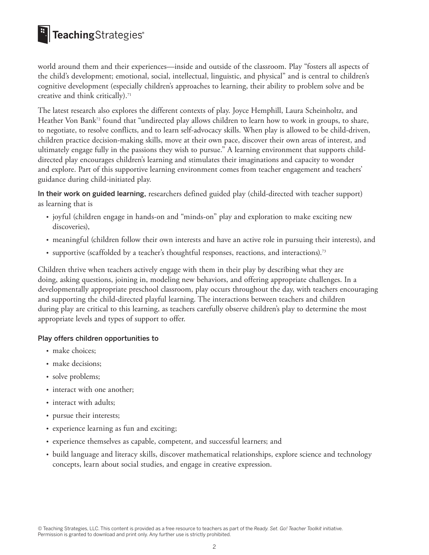# **E** TeachingStrategies®

world around them and their experiences—inside and outside of the classroom. Play "fosters all aspects of the child's development; emotional, social, intellectual, linguistic, and physical" and is central to children's cognitive development (especially children's approaches to learning, their ability to problem solve and be creative and think critically).<sup>71</sup>

The latest research also explores the different contexts of play. Joyce Hemphill, Laura Scheinholtz, and Heather Von Bank<sup>72</sup> found that "undirected play allows children to learn how to work in groups, to share, to negotiate, to resolve conflicts, and to learn self-advocacy skills. When play is allowed to be child-driven, children practice decision-making skills, move at their own pace, discover their own areas of interest, and ultimately engage fully in the passions they wish to pursue." A learning environment that supports childdirected play encourages children's learning and stimulates their imaginations and capacity to wonder and explore. Part of this supportive learning environment comes from teacher engagement and teachers' guidance during child-initiated play.

In their work on guided learning, researchers defined guided play (child-directed with teacher support) as learning that is

- joyful (children engage in hands-on and "minds-on" play and exploration to make exciting new discoveries),
- meaningful (children follow their own interests and have an active role in pursuing their interests), and
- supportive (scaffolded by a teacher's thoughtful responses, reactions, and interactions).<sup>73</sup>

Children thrive when teachers actively engage with them in their play by describing what they are doing, asking questions, joining in, modeling new behaviors, and offering appropriate challenges. In a developmentally appropriate preschool classroom, play occurs throughout the day, with teachers encouraging and supporting the child-directed playful learning. The interactions between teachers and children during play are critical to this learning, as teachers carefully observe children's play to determine the most appropriate levels and types of support to offer.

#### Play offers children opportunities to

- make choices;
- make decisions;
- solve problems;
- interact with one another;
- interact with adults;
- pursue their interests;
- experience learning as fun and exciting;
- experience themselves as capable, competent, and successful learners; and
- build language and literacy skills, discover mathematical relationships, explore science and technology concepts, learn about social studies, and engage in creative expression.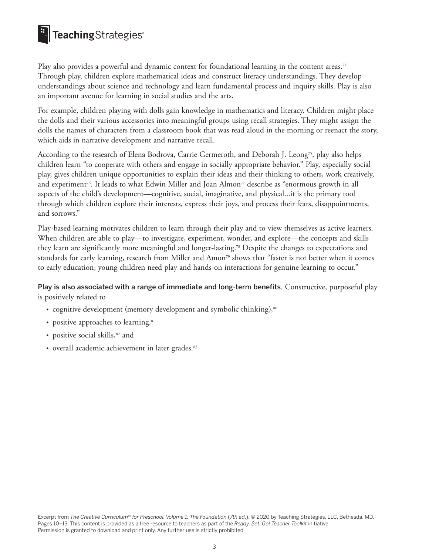# **E** TeachingStrategies®

Play also provides a powerful and dynamic context for foundational learning in the content areas.74 Through play, children explore mathematical ideas and construct literacy understandings. They develop understandings about science and technology and learn fundamental process and inquiry skills. Play is also an important avenue for learning in social studies and the arts.

For example, children playing with dolls gain knowledge in mathematics and literacy. Children might place the dolls and their various accessories into meaningful groups using recall strategies. They might assign the dolls the names of characters from a classroom book that was read aloud in the morning or reenact the story, which aids in narrative development and narrative recall.

According to the research of Elena Bodrova, Carrie Germeroth, and Deborah J. Leong<sup>75</sup>, play also helps children learn "to cooperate with others and engage in socially appropriate behavior." Play, especially social play, gives children unique opportunities to explain their ideas and their thinking to others, work creatively, and experiment<sup>76</sup>. It leads to what Edwin Miller and Joan Almon<sup>77</sup> describe as "enormous growth in all aspects of the child's development—cognitive, social, imaginative, and physical...it is the primary tool through which children explore their interests, express their joys, and process their fears, disappointments, and sorrows."

Play-based learning motivates children to learn through their play and to view themselves as active learners. When children are able to play—to investigate, experiment, wonder, and explore—the concepts and skills they learn are significantly more meaningful and longer-lasting.78 Despite the changes to expectations and standards for early learning, research from Miller and Amon<sup>79</sup> shows that "faster is not better when it comes to early education; young children need play and hands-on interactions for genuine learning to occur."

#### Play is also associated with a range of immediate and long-term benefits. Constructive, purposeful play is positively related to

- cognitive development (memory development and symbolic thinking),<sup>80</sup>
- positive approaches to learning.<sup>81</sup>
- positive social skills,<sup>82</sup> and
- overall academic achievement in later grades.<sup>83</sup>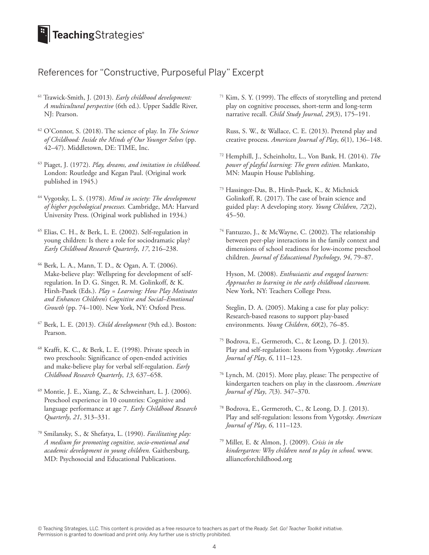## TeachingStrategies®

### References for "Constructive, Purposeful Play" Excerpt

- 61 Trawick-Smith, J. (2013). *Early childhood development: A multicultural perspective* (6th ed.). Upper Saddle River, NJ: Pearson.
- 62 O'Connor, S. (2018). The science of play. In *The Science of Childhood: Inside the Minds of Our Younger Selves* (pp. 42–47). Middletown, DE: TIME, Inc.
- 63 Piaget, J. (1972). *Play, dreams, and imitation in childhood.* London: Routledge and Kegan Paul. (Original work published in 1945.)
- 64 Vygotsky, L. S. (1978). *Mind in society: The development of higher psychological processes.* Cambridge, MA: Harvard University Press. (Original work published in 1934.)
- 65 Elias, C. H., & Berk, L. E. (2002). Self-regulation in young children: Is there a role for sociodramatic play? *Early Childhood Research Quarterly*, *17*, 216–238.
- 66 Berk, L. A., Mann, T. D., & Ogan, A. T. (2006). Make-believe play: Wellspring for development of selfregulation. In D. G. Singer, R. M. Golinkoff, & K. Hirsh-Pasek (Eds.). *Play = Learning: How Play Motivates and Enhances Children's Cognitive and Social–Emotional Growth* (pp. 74–100). New York, NY: Oxford Press.
- 67 Berk, L. E. (2013). *Child development* (9th ed.). Boston: Pearson.
- 68 Krafft, K. C., & Berk, L. E. (1998). Private speech in two preschools: Significance of open-ended activities and make-believe play for verbal self-regulation. *Early Childhood Research Quarterly*, *13*, 637–658.
- 69 Montie, J. E., Xiang, Z., & Schweinhart, L. J. (2006). Preschool experience in 10 countries: Cognitive and language performance at age 7. *Early Childhood Research Quarterly*, *21*, 313–331.
- 70 Smilansky, S., & Shefatya, L. (1990). *Facilitating play: A medium for promoting cognitive, socio-emotional and academic development in young children.* Gaithersburg, MD: Psychosocial and Educational Publications.

71 Kim, S. Y. (1999). The effects of storytelling and pretend play on cognitive processes, short-term and long-term narrative recall. *Child Study Journal*, *29*(3), 175–191.

Russ, S. W., & Wallace, C. E. (2013). Pretend play and creative process. *American Journal of Play*, *6*(1), 136–148.

- 72 Hemphill, J., Scheinholtz, L., Von Bank, H. (2014). *The power of playful learning: The green edition.* Mankato, MN: Maupin House Publishing.
- 73 Hassinger-Das, B., Hirsh-Pasek, K., & Michnick Golinkoff, R. (2017). The case of brain science and guided play: A developing story. *Young Children*, *72*(2), 45–50.
- 74 Fantuzzo, J., & McWayne, C. (2002). The relationship between peer-play interactions in the family context and dimensions of school readiness for low-income preschool children. *Journal of Educational Psychology*, *94*, 79–87.

Hyson, M. (2008). *Enthusiastic and engaged learners: Approaches to learning in the early childhood classroom.* New York, NY: Teachers College Press.

Steglin, D. A. (2005). Making a case for play policy: Research-based reasons to support play-based environments. *Young Children*, *60*(2), 76–85.

- 75 Bodrova, E., Germeroth, C., & Leong, D. J. (2013). Play and self-regulation: lessons from Vygotsky. *American Journal of Play*, *6*, 111–123.
- 76 Lynch, M. (2015). More play, please: The perspective of kindergarten teachers on play in the classroom. *American Journal of Play*, *7*(3). 347–370.
- 78 Bodrova, E., Germeroth, C., & Leong, D. J. (2013). Play and self-regulation: lessons from Vygotsky. *American Journal of Play*, *6*, 111–123.
- 79 Miller, E. & Almon, J. (2009). *Crisis in the kindergarten: Why children need to play in school.* www. allianceforchildhood.org

© Teaching Strategies, LLC. This content is provided as a free resource to teachers as part of the *Ready. Set. Go! Teacher Toolkit* initiative. Permission is granted to download and print only. Any further use is strictly prohibited.